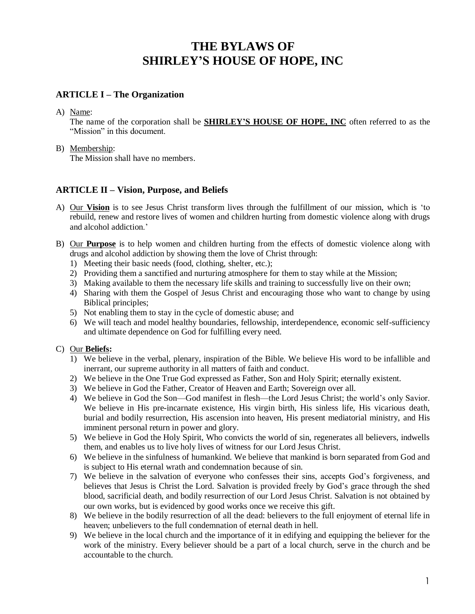# **THE BYLAWS OF SHIRLEY'S HOUSE OF HOPE, INC**

## **ARTICLE I – The Organization**

A) Name:

The name of the corporation shall be **SHIRLEY'S HOUSE OF HOPE, INC** often referred to as the "Mission" in this document.

#### B) Membership:

The Mission shall have no members.

## **ARTICLE II – Vision, Purpose, and Beliefs**

- A) Our **Vision** is to see Jesus Christ transform lives through the fulfillment of our mission, which is 'to rebuild, renew and restore lives of women and children hurting from domestic violence along with drugs and alcohol addiction.'
- B) Our **Purpose** is to help women and children hurting from the effects of domestic violence along with drugs and alcohol addiction by showing them the love of Christ through:
	- 1) Meeting their basic needs (food, clothing, shelter, etc.);
	- 2) Providing them a sanctified and nurturing atmosphere for them to stay while at the Mission;
	- 3) Making available to them the necessary life skills and training to successfully live on their own;
	- 4) Sharing with them the Gospel of Jesus Christ and encouraging those who want to change by using Biblical principles;
	- 5) Not enabling them to stay in the cycle of domestic abuse; and
	- 6) We will teach and model healthy boundaries, fellowship, interdependence, economic self-sufficiency and ultimate dependence on God for fulfilling every need.

### C) Our **Beliefs:**

- 1) We believe in the verbal, plenary, inspiration of the Bible. We believe His word to be infallible and inerrant, our supreme authority in all matters of faith and conduct.
- 2) We believe in the One True God expressed as Father, Son and Holy Spirit; eternally existent.
- 3) We believe in God the Father, Creator of Heaven and Earth; Sovereign over all.
- 4) We believe in God the Son—God manifest in flesh—the Lord Jesus Christ; the world's only Savior. We believe in His pre-incarnate existence, His virgin birth, His sinless life, His vicarious death, burial and bodily resurrection, His ascension into heaven, His present mediatorial ministry, and His imminent personal return in power and glory.
- 5) We believe in God the Holy Spirit, Who convicts the world of sin, regenerates all believers, indwells them, and enables us to live holy lives of witness for our Lord Jesus Christ.
- 6) We believe in the sinfulness of humankind. We believe that mankind is born separated from God and is subject to His eternal wrath and condemnation because of sin.
- 7) We believe in the salvation of everyone who confesses their sins, accepts God's forgiveness, and believes that Jesus is Christ the Lord. Salvation is provided freely by God's grace through the shed blood, sacrificial death, and bodily resurrection of our Lord Jesus Christ. Salvation is not obtained by our own works, but is evidenced by good works once we receive this gift.
- 8) We believe in the bodily resurrection of all the dead: believers to the full enjoyment of eternal life in heaven; unbelievers to the full condemnation of eternal death in hell.
- 9) We believe in the local church and the importance of it in edifying and equipping the believer for the work of the ministry. Every believer should be a part of a local church, serve in the church and be accountable to the church.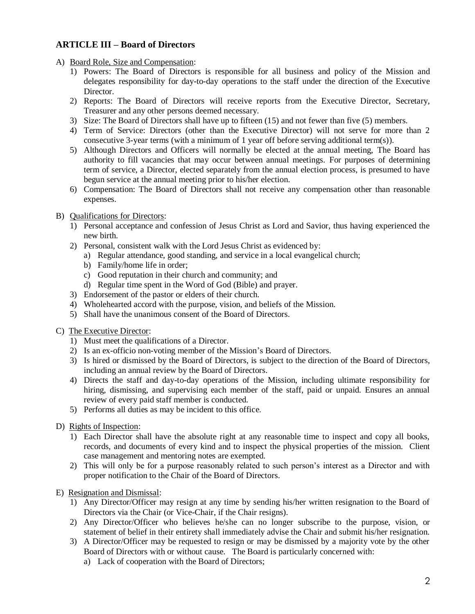# **ARTICLE III – Board of Directors**

A) Board Role, Size and Compensation:

- 1) Powers: The Board of Directors is responsible for all business and policy of the Mission and delegates responsibility for day-to-day operations to the staff under the direction of the Executive Director.
- 2) Reports: The Board of Directors will receive reports from the Executive Director, Secretary, Treasurer and any other persons deemed necessary.
- 3) Size: The Board of Directors shall have up to fifteen (15) and not fewer than five (5) members.
- 4) Term of Service: Directors (other than the Executive Director) will not serve for more than 2 consecutive 3-year terms (with a minimum of 1 year off before serving additional term(s)).
- 5) Although Directors and Officers will normally be elected at the annual meeting, The Board has authority to fill vacancies that may occur between annual meetings. For purposes of determining term of service, a Director, elected separately from the annual election process, is presumed to have begun service at the annual meeting prior to his/her election.
- 6) Compensation: The Board of Directors shall not receive any compensation other than reasonable expenses.

#### B) Qualifications for Directors:

- 1) Personal acceptance and confession of Jesus Christ as Lord and Savior, thus having experienced the new birth.
- 2) Personal, consistent walk with the Lord Jesus Christ as evidenced by:
	- a) Regular attendance, good standing, and service in a local evangelical church;
	- b) Family/home life in order;
	- c) Good reputation in their church and community; and
	- d) Regular time spent in the Word of God (Bible) and prayer.
- 3) Endorsement of the pastor or elders of their church.
- 4) Wholehearted accord with the purpose, vision, and beliefs of the Mission.
- 5) Shall have the unanimous consent of the Board of Directors.
- C) The Executive Director:
	- 1) Must meet the qualifications of a Director.
	- 2) Is an ex-officio non-voting member of the Mission's Board of Directors.
	- 3) Is hired or dismissed by the Board of Directors, is subject to the direction of the Board of Directors, including an annual review by the Board of Directors.
	- 4) Directs the staff and day-to-day operations of the Mission, including ultimate responsibility for hiring, dismissing, and supervising each member of the staff, paid or unpaid. Ensures an annual review of every paid staff member is conducted.
	- 5) Performs all duties as may be incident to this office.
- D) Rights of Inspection:
	- 1) Each Director shall have the absolute right at any reasonable time to inspect and copy all books, records, and documents of every kind and to inspect the physical properties of the mission. Client case management and mentoring notes are exempted.
	- 2) This will only be for a purpose reasonably related to such person's interest as a Director and with proper notification to the Chair of the Board of Directors.

E) Resignation and Dismissal:

- 1) Any Director/Officer may resign at any time by sending his/her written resignation to the Board of Directors via the Chair (or Vice-Chair, if the Chair resigns).
- 2) Any Director/Officer who believes he/she can no longer subscribe to the purpose, vision, or statement of belief in their entirety shall immediately advise the Chair and submit his/her resignation.
- 3) A Director/Officer may be requested to resign or may be dismissed by a majority vote by the other Board of Directors with or without cause. The Board is particularly concerned with:
	- a) Lack of cooperation with the Board of Directors;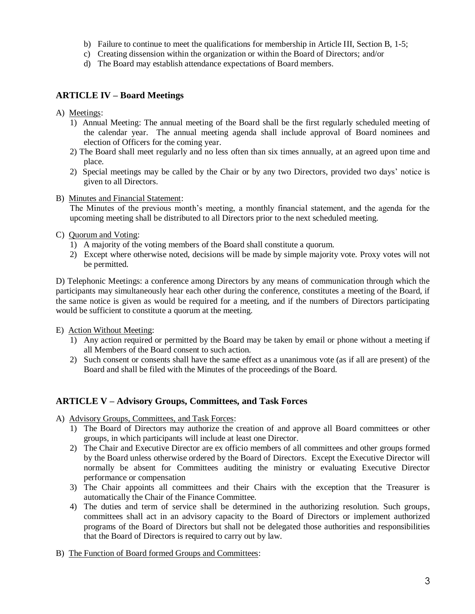- b) Failure to continue to meet the qualifications for membership in Article III, Section B, 1-5;
- c) Creating dissension within the organization or within the Board of Directors; and/or
- d) The Board may establish attendance expectations of Board members.

## **ARTICLE IV – Board Meetings**

- A) Meetings:
	- 1) Annual Meeting: The annual meeting of the Board shall be the first regularly scheduled meeting of the calendar year. The annual meeting agenda shall include approval of Board nominees and election of Officers for the coming year.
	- 2) The Board shall meet regularly and no less often than six times annually, at an agreed upon time and place.
	- 2) Special meetings may be called by the Chair or by any two Directors, provided two days' notice is given to all Directors.
- B) Minutes and Financial Statement:

The Minutes of the previous month's meeting, a monthly financial statement, and the agenda for the upcoming meeting shall be distributed to all Directors prior to the next scheduled meeting.

- C) Quorum and Voting:
	- 1) A majority of the voting members of the Board shall constitute a quorum.
	- 2) Except where otherwise noted, decisions will be made by simple majority vote. Proxy votes will not be permitted.

D) Telephonic Meetings: a conference among Directors by any means of communication through which the participants may simultaneously hear each other during the conference, constitutes a meeting of the Board, if the same notice is given as would be required for a meeting, and if the numbers of Directors participating would be sufficient to constitute a quorum at the meeting.

- E) Action Without Meeting:
	- 1) Any action required or permitted by the Board may be taken by email or phone without a meeting if all Members of the Board consent to such action.
	- 2) Such consent or consents shall have the same effect as a unanimous vote (as if all are present) of the Board and shall be filed with the Minutes of the proceedings of the Board.

# **ARTICLE V – Advisory Groups, Committees, and Task Forces**

A) Advisory Groups, Committees, and Task Forces:

- 1) The Board of Directors may authorize the creation of and approve all Board committees or other groups, in which participants will include at least one Director.
- 2) The Chair and Executive Director are ex officio members of all committees and other groups formed by the Board unless otherwise ordered by the Board of Directors. Except the Executive Director will normally be absent for Committees auditing the ministry or evaluating Executive Director performance or compensation
- 3) The Chair appoints all committees and their Chairs with the exception that the Treasurer is automatically the Chair of the Finance Committee.
- 4) The duties and term of service shall be determined in the authorizing resolution. Such groups, committees shall act in an advisory capacity to the Board of Directors or implement authorized programs of the Board of Directors but shall not be delegated those authorities and responsibilities that the Board of Directors is required to carry out by law.
- B) The Function of Board formed Groups and Committees: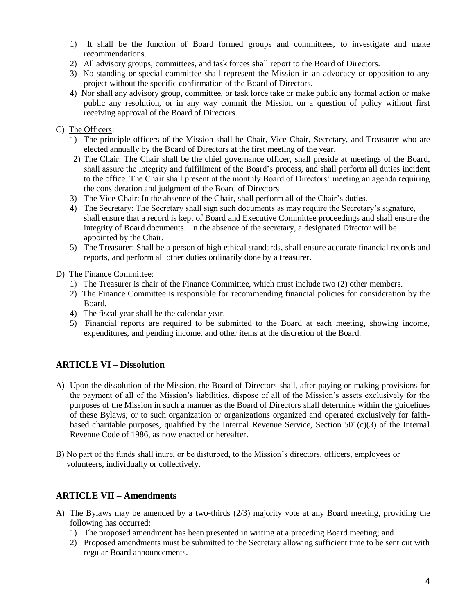- 1) It shall be the function of Board formed groups and committees, to investigate and make recommendations.
- 2) All advisory groups, committees, and task forces shall report to the Board of Directors.
- 3) No standing or special committee shall represent the Mission in an advocacy or opposition to any project without the specific confirmation of the Board of Directors.
- 4) Nor shall any advisory group, committee, or task force take or make public any formal action or make public any resolution, or in any way commit the Mission on a question of policy without first receiving approval of the Board of Directors.

#### C) The Officers:

- 1) The principle officers of the Mission shall be Chair, Vice Chair, Secretary, and Treasurer who are elected annually by the Board of Directors at the first meeting of the year.
- 2) The Chair: The Chair shall be the chief governance officer, shall preside at meetings of the Board, shall assure the integrity and fulfillment of the Board's process, and shall perform all duties incident to the office. The Chair shall present at the monthly Board of Directors' meeting an agenda requiring the consideration and judgment of the Board of Directors
- 3) The Vice-Chair: In the absence of the Chair, shall perform all of the Chair's duties.
- 4) The Secretary: The Secretary shall sign such documents as may require the Secretary's signature, shall ensure that a record is kept of Board and Executive Committee proceedings and shall ensure the integrity of Board documents. In the absence of the secretary, a designated Director will be appointed by the Chair.
- 5) The Treasurer: Shall be a person of high ethical standards, shall ensure accurate financial records and reports, and perform all other duties ordinarily done by a treasurer.

#### D) The Finance Committee:

- 1) The Treasurer is chair of the Finance Committee, which must include two (2) other members.
- 2) The Finance Committee is responsible for recommending financial policies for consideration by the Board.
- 4) The fiscal year shall be the calendar year.
- 5) Financial reports are required to be submitted to the Board at each meeting, showing income, expenditures, and pending income, and other items at the discretion of the Board.

# **ARTICLE VI – Dissolution**

- A) Upon the dissolution of the Mission, the Board of Directors shall, after paying or making provisions for the payment of all of the Mission's liabilities, dispose of all of the Mission's assets exclusively for the purposes of the Mission in such a manner as the Board of Directors shall determine within the guidelines of these Bylaws, or to such organization or organizations organized and operated exclusively for faithbased charitable purposes, qualified by the Internal Revenue Service, Section  $501(c)(3)$  of the Internal Revenue Code of 1986, as now enacted or hereafter.
- B) No part of the funds shall inure, or be disturbed, to the Mission's directors, officers, employees or volunteers, individually or collectively.

### **ARTICLE VII – Amendments**

- A) The Bylaws may be amended by a two-thirds (2/3) majority vote at any Board meeting, providing the following has occurred:
	- 1) The proposed amendment has been presented in writing at a preceding Board meeting; and
	- 2) Proposed amendments must be submitted to the Secretary allowing sufficient time to be sent out with regular Board announcements.